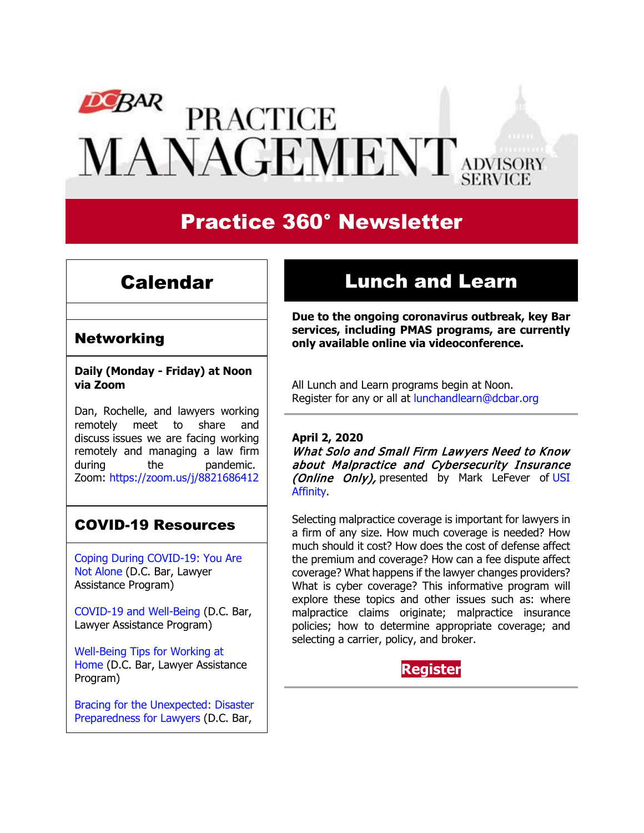# **DCBAR PRACTICE MANAGEMENT** ADVISORY

# Practice 360° Newsletter

## Calendar

# Lunch and Learn

### Networking

**Daily (Monday - Friday) at Noon via Zoom**

Dan, Rochelle, and lawyers working remotely meet to share and discuss issues we are facing working remotely and managing a law firm during the pandemic. Zoom: <https://zoom.us/j/8821686412>

### COVID-19 Resources

[Coping During COVID-19: You Are](https://www.dcbar.org/about-the-bar/news/coping-during-covid-19-you-are-not-alone.cfm?utm_source=Real%20Magnet&utm_medium=INSERT_CHANNEL&utm_campaign=INSERT_LINK_ID)  [Not Alone](https://www.dcbar.org/about-the-bar/news/coping-during-covid-19-you-are-not-alone.cfm?utm_source=Real%20Magnet&utm_medium=INSERT_CHANNEL&utm_campaign=INSERT_LINK_ID) (D.C. Bar, Lawyer Assistance Program)

[COVID-19 and Well-Being](https://www.dcbar.org/bar-resources/lawyer-assistance-program/upload/COVID-19-and-Well-Being-Resources.pdf?utm_source=Real%20Magnet&utm_medium=INSERT_CHANNEL&utm_campaign=INSERT_LINK_ID) (D.C. Bar, Lawyer Assistance Program)

[Well-Being Tips for Working at](https://www.dcbar.org/bar-resources/lawyer-assistance-program/upload/WellnessTips-Working-from-home.pdf?utm_source=Real%20Magnet&utm_medium=INSERT_CHANNEL&utm_campaign=INSERT_LINK_ID)  [Home](https://www.dcbar.org/bar-resources/lawyer-assistance-program/upload/WellnessTips-Working-from-home.pdf?utm_source=Real%20Magnet&utm_medium=INSERT_CHANNEL&utm_campaign=INSERT_LINK_ID) (D.C. Bar, Lawyer Assistance Program)

[Bracing for the Unexpected: Disaster](https://www.dcbar.org/about-the-bar/news/disaster-preparedness-for-lawyers.cfm?utm_source=Real%20Magnet&utm_medium=INSERT_CHANNEL&utm_campaign=INSERT_LINK_ID)  [Preparedness for Lawyers](https://www.dcbar.org/about-the-bar/news/disaster-preparedness-for-lawyers.cfm?utm_source=Real%20Magnet&utm_medium=INSERT_CHANNEL&utm_campaign=INSERT_LINK_ID) (D.C. Bar,

**Due to the ongoing coronavirus outbreak, key Bar services, including PMAS programs, are currently only available online via videoconference.**

All Lunch and Learn programs begin at Noon. Register for any or all at [lunchandlearn@dcbar.org](mailto:lunchandlearn@dcbar.org?subject=Lunch%20and%20Learn)

#### **April 2, 2020**

What Solo and Small Firm Lawyers Need to Know about Malpractice and Cybersecurity Insurance (Online Only), presented by Mark LeFever of USI **Affinity** 

Selecting malpractice coverage is important for lawyers in a firm of any size. How much coverage is needed? How much should it cost? How does the cost of defense affect the premium and coverage? How can a fee dispute affect coverage? What happens if the lawyer changes providers? What is cyber coverage? This informative program will explore these topics and other issues such as: where malpractice claims originate; malpractice insurance policies; how to determine appropriate coverage; and selecting a carrier, policy, and broker.

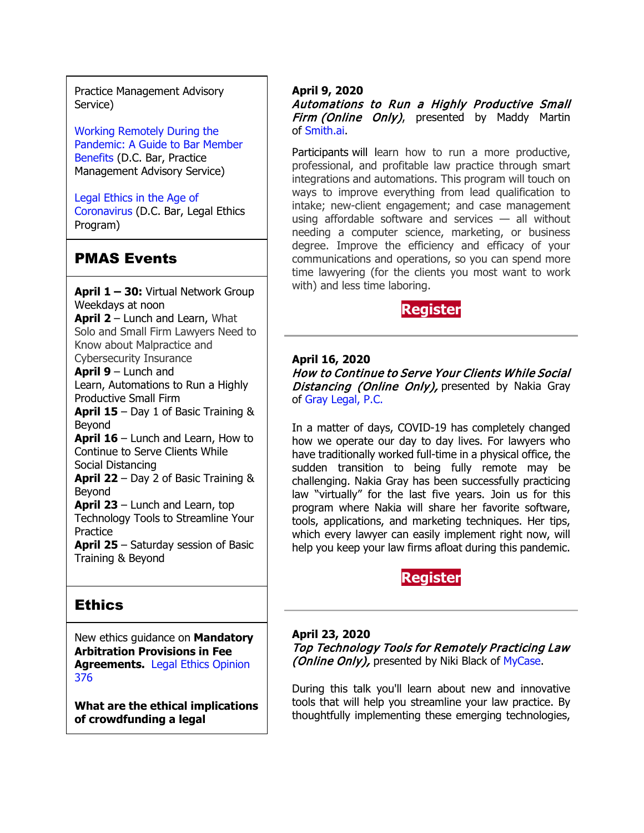Practice Management Advisory Service)

[Working Remotely During the](https://www.dcbar.org/about-the-bar/news/working-remotely-during-the-pandemic.cfm?utm_source=Real%20Magnet&utm_medium=INSERT_CHANNEL&utm_campaign=INSERT_LINK_ID)  [Pandemic: A Guide to Bar Member](https://www.dcbar.org/about-the-bar/news/working-remotely-during-the-pandemic.cfm?utm_source=Real%20Magnet&utm_medium=INSERT_CHANNEL&utm_campaign=INSERT_LINK_ID)  [Benefits](https://www.dcbar.org/about-the-bar/news/working-remotely-during-the-pandemic.cfm?utm_source=Real%20Magnet&utm_medium=INSERT_CHANNEL&utm_campaign=INSERT_LINK_ID) (D.C. Bar, Practice Management Advisory Service)

[Legal Ethics in the Age of](https://www.dcbar.org/about-the-bar/news/Legal-Ethics-in-the-Age-of-the-Coronavirus.cfm?utm_source=Real%20Magnet&utm_medium=INSERT_CHANNEL&utm_campaign=INSERT_LINK_ID)  [Coronavirus](https://www.dcbar.org/about-the-bar/news/Legal-Ethics-in-the-Age-of-the-Coronavirus.cfm?utm_source=Real%20Magnet&utm_medium=INSERT_CHANNEL&utm_campaign=INSERT_LINK_ID) (D.C. Bar, Legal Ethics Program)

### PMAS Events

**April 1 – 30:** Virtual Network Group Weekdays at noon **April 2** – Lunch and Learn, What Solo and Small Firm Lawyers Need to Know about Malpractice and Cybersecurity Insurance **April 9** – Lunch and Learn, Automations to Run a Highly Productive Small Firm **April 15** – Day 1 of Basic Training & Beyond **April 16** – Lunch and Learn, How to Continue to Serve Clients While Social Distancing **April 22** – Day 2 of Basic Training & Beyond **April 23** – Lunch and Learn, top Technology Tools to Streamline Your **Practice April 25** – Saturday session of Basic Training & Beyond

### **Ethics**

New ethics guidance on **Mandatory Arbitration Provisions in Fee Agreements.** [Legal Ethics Opinion](https://www.dcbar.org/bar-resources/legal-ethics/opinions/Ethics-Opinion-376.cfm?utm_source=Real%20Magnet&utm_medium=INSERT_CHANNEL&utm_campaign=INSERT_LINK_ID)  [376](https://www.dcbar.org/bar-resources/legal-ethics/opinions/Ethics-Opinion-376.cfm?utm_source=Real%20Magnet&utm_medium=INSERT_CHANNEL&utm_campaign=INSERT_LINK_ID)

**What are the ethical implications of crowdfunding a legal** 

#### **April 9, 2020**

Automations to Run a Highly Productive Small Firm (Online Only), presented by Maddy Martin of [Smith.ai.](https://smith.ai/)

Participants will learn how to run a more productive, professional, and profitable law practice through smart integrations and automations. This program will touch on ways to improve everything from lead qualification to intake; new-client engagement; and case management using affordable software and services — all without needing a computer science, marketing, or business degree. Improve the efficiency and efficacy of your communications and operations, so you can spend more time lawyering (for the clients you most want to work with) and less time laboring.

### **[Register](https://join.dcbar.org/eWeb/DynamicPage.aspx?site=dcbar&webcode=EventInfo&Reg_evt_key=20a346ce-f584-43c5-9de7-47632eae0957&RegPath=EventRegFees&FreeEvent=&Event=Lunch%20and%20Learn:%20Automations%20to%20Run%20a%20Highly%20Productive%20Small%20Firm&FundraisingEvent=&evt_guest_limit=9999&utm_source=Real%20Magnet&utm_medium=INSERT_CHANNEL&utm_campaign=INSERT_LINK_ID)**

**April 16, 2020** How to Continue to Serve Your Clients While Social Distancing (Online Only), presented by Nakia Gray of [Gray Legal, P.C.](https://www.graylegalpc.com/)

In a matter of days, COVID-19 has completely changed how we operate our day to day lives. For lawyers who have traditionally worked full-time in a physical office, the sudden transition to being fully remote may be challenging. Nakia Gray has been successfully practicing law "virtually" for the last five years. Join us for this program where Nakia will share her favorite software, tools, applications, and marketing techniques. Her tips, which every lawyer can easily implement right now, will help you keep your law firms afloat during this pandemic.



#### **April 23, 2020**

Top Technology Tools for Remotely Practicing Law (**Online Only**), presented by Niki Black of [MyCase.](https://learn.mycase.com/lp/414/dcbar.html)

During this talk you'll learn about new and innovative tools that will help you streamline your law practice. By thoughtfully implementing these emerging technologies,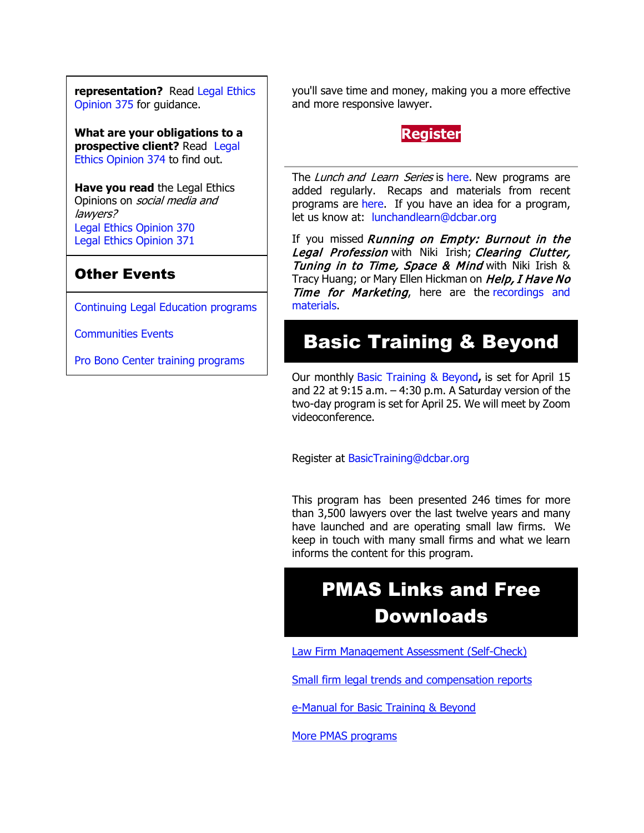**representation?** Read [Legal Ethics](http://www.dcbar.org/bar-resources/legal-ethics/opinions/Ethics-Opinion-375.cfm?utm_source=Real%20Magnet&utm_medium=INSERT_CHANNEL&utm_campaign=INSERT_LINK_ID)  [Opinion 375](http://www.dcbar.org/bar-resources/legal-ethics/opinions/Ethics-Opinion-375.cfm?utm_source=Real%20Magnet&utm_medium=INSERT_CHANNEL&utm_campaign=INSERT_LINK_ID) for guidance.

**What are your obligations to a prospective client?** Read Legal [Ethics Opinion 374](http://www.dcbar.org/bar-resources/legal-ethics/opinions/Ethics-Opinion-374.cfm?utm_source=Real%20Magnet&utm_medium=INSERT_CHANNEL&utm_campaign=INSERT_LINK_ID) to find out.

**Have you read** the Legal Ethics Opinions on *social media and* lawyers? [Legal Ethics Opinion](http://www.dcbar.org/bar-resources/legal-ethics/opinions/Ethics-Opinion-370.cfm?utm_source=Real%20Magnet&utm_medium=INSERT_CHANNEL&utm_campaign=INSERT_LINK_ID) 370 [Legal Ethics Opinion](http://www.dcbar.org/bar-resources/legal-ethics/opinions/Ethics-Opinion-371.cfm?utm_source=Real%20Magnet&utm_medium=INSERT_CHANNEL&utm_campaign=INSERT_LINK_ID) 371

### Other Events

[Continuing Legal Education programs](https://join.dcbar.org/eweb/DynamicPage.aspx?Site=DCBar&WebKey=cbe606bc-88d4-4d37-872c-f48d412a59e5&evt_etc_key=7aaf572d-f662-422f-9fe7-0ae3f4b705be&utm_source=Real%20Magnet&utm_medium=INSERT_CHANNEL&utm_campaign=INSERT_LINK_ID)

[Communities Events](https://join.dcbar.org/eweb/DynamicPage.aspx?site=dcbar&webcode=EventList&utm_source=Real%20Magnet&utm_medium=INSERT_CHANNEL&utm_campaign=INSERT_LINK_ID)

[Pro Bono Center training programs](http://www.dcbar.org/pro-bono/resources-and-training/pro-bono-training.cfm?utm_source=Real%20Magnet&utm_medium=INSERT_CHANNEL&utm_campaign=INSERT_LINK_ID)

you'll save time and money, making you a more effective and more responsive lawyer.

#### **[Register](https://join.dcbar.org/eWeb/DynamicPage.aspx?site=dcbar&webcode=EventInfo&Reg_evt_key=d6cab1ae-e385-4cf1-9119-28056c2a801f&RegPath=EventRegFees&FreeEvent=&Event=Lunch%20and%20Learn:%20Top%20Technology%20Tools%20to%20Streamline%20Your%20Practice%20(Online%20Only)&FundraisingEvent=&evt_guest_limit=9999&utm_source=Real%20Magnet&utm_medium=INSERT_CHANNEL&utm_campaign=INSERT_LINK_ID)**

The Lunch and Learn Series is [here.](http://www.mmsend31.com/link.cfm?r=zvkjaWqFFUTRz65Avl-Ftw%7E%7E&pe=uj3OQce67sAzal0I0cWC7TjhNwePVYVKzJMg2Js6AIsGNMVqBKo6FlxU1r4B9xoXUOyVF9B6Sl75zAYfEz30Xg%7E%7E&t=9q0Bx7QlIBCo1RGNX5Mg8A%7E%7E) New programs are added regularly. Recaps and materials from recent programs are [here.](https://www.dcbar.org/bar-resources/practice-management-advisory-service/lunch-series-past.cfm?utm_source=Real%20Magnet&utm_medium=INSERT_CHANNEL&utm_campaign=INSERT_LINK_ID) If you have an idea for a program, let us know at: [lunchandlearn@dcbar.org](mailto:lunchandlearn@dcbar.org)

If you missed Running on Empty: Burnout in the Legal Profession with Niki Irish; Clearing Clutter, Tuning in to Time, Space & Mind with Niki Irish & Tracy Huang; or Mary Ellen Hickman on Help, I Have No Time for Marketing, here are the recordings and [materials.](http://www.mmsend31.com/link.cfm?r=zvkjaWqFFUTRz65Avl-Ftw%7E%7E&pe=4mmxqJOvTKC2xyXj-atTVcA70zCTGMMU-jeeiyE3_LcUP1jcscAFhZabfUl8Xy4IIeUfSvOSbZDXV2AP0w6XEA%7E%7E&t=9q0Bx7QlIBCo1RGNX5Mg8A%7E%7E)

# Basic Training & Beyond

Our monthly [Basic Training & Beyond](http://www.dcbar.org/bar-resources/practice-management-advisory-service/basic-training.cfm?utm_source=Real%20Magnet&utm_medium=INSERT_CHANNEL&utm_campaign=INSERT_LINK_ID)**,** is set for April 15 and 22 at  $9:15$  a.m.  $-4:30$  p.m. A Saturday version of the two-day program is set for April 25. We will meet by Zoom videoconference.

Register at [BasicTraining@dcbar.org](mailto:BasicTraining@dcbar.org?subject=Basic%20Training%20%26%20Beyond) 

This program has been presented 246 times for more than 3,500 lawyers over the last twelve years and many have launched and are operating small law firms. We keep in touch with many small firms and what we learn informs the content for this program.

# PMAS Links and Free Downloads

[Law Firm Management Assessment \(Self-Check\)](https://www.dcbar.org/bar-resources/practice-management-advisory-service/selfcheck.cfm?utm_source=Real%20Magnet&utm_medium=INSERT_CHANNEL&utm_campaign=INSERT_LINK_ID)

[Small firm legal trends and compensation reports](http://www.dcbar.org/bar-resources/practice-management-advisory-service/basic-training-supplement.cfm?utm_source=Real%20Magnet&utm_medium=INSERT_CHANNEL&utm_campaign=INSERT_LINK_ID)

[e-Manual for Basic Training & Beyond](http://www.dcbar.org/bar-resources/practice-management-advisory-service/upload/eManual-050316.pdf?utm_source=Real%20Magnet&utm_medium=INSERT_CHANNEL&utm_campaign=INSERT_LINK_ID)

[More PMAS programs](http://www.dcbar.org/bar-resources/practice-management-advisory-service/?utm_source=Real%20Magnet&utm_medium=INSERT_CHANNEL&utm_campaign=INSERT_LINK_ID)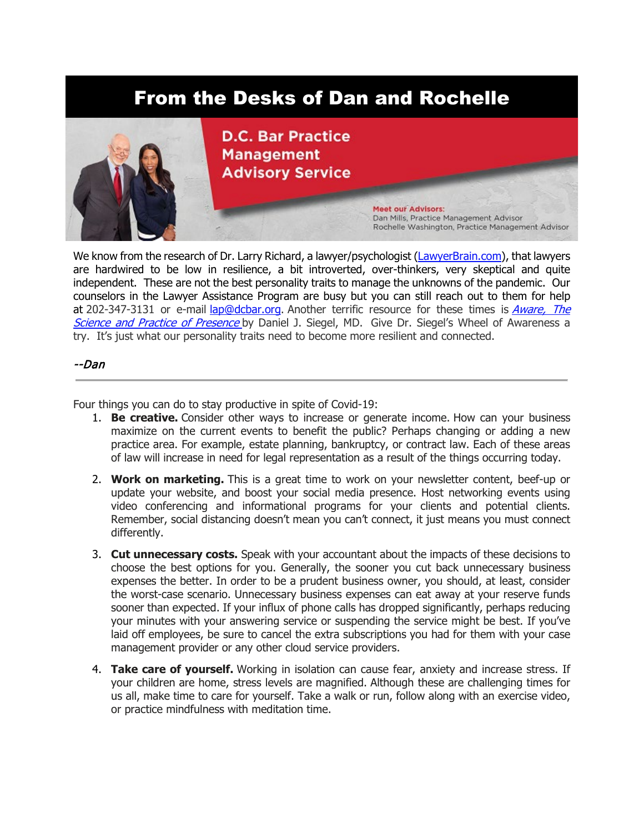# From the Desks of Dan and Rochelle



We know from the research of Dr. Larry Richard, a lawyer/psychologist [\(LawyerBrain.com\)](http://lawyerbrain.com/), that lawyers are hardwired to be low in resilience, a bit introverted, over-thinkers, very skeptical and quite independent. These are not the best personality traits to manage the unknowns of the pandemic. Our counselors in the Lawyer Assistance Program are busy but you can still reach out to them for help at 202-347-3131 or e-mail [lap@dcbar.org.](mailto:lap@dcbar.org) Another terrific resource for these times is *Aware, The* [Science and Practice of Presence](https://www.drdansiegel.com/books/aware/) by Daniel J. Siegel, MD. Give Dr. Siegel's Wheel of Awareness a try. It's just what our personality traits need to become more resilient and connected.

#### --Dan

Four things you can do to stay productive in spite of Covid-19:

- 1. **Be creative.** Consider other ways to increase or generate income. How can your business maximize on the current events to benefit the public? Perhaps changing or adding a new practice area. For example, estate planning, bankruptcy, or contract law. Each of these areas of law will increase in need for legal representation as a result of the things occurring today.
- 2. **Work on marketing.** This is a great time to work on your newsletter content, beef-up or update your website, and boost your social media presence. Host networking events using video conferencing and informational programs for your clients and potential clients. Remember, social distancing doesn't mean you can't connect, it just means you must connect differently.
- 3. **Cut unnecessary costs.** Speak with your accountant about the impacts of these decisions to choose the best options for you. Generally, the sooner you cut back unnecessary business expenses the better. In order to be a prudent business owner, you should, at least, consider the worst-case scenario. Unnecessary business expenses can eat away at your reserve funds sooner than expected. If your influx of phone calls has dropped significantly, perhaps reducing your minutes with your answering service or suspending the service might be best. If you've laid off employees, be sure to cancel the extra subscriptions you had for them with your case management provider or any other cloud service providers.
- 4. **Take care of yourself.** Working in isolation can cause fear, anxiety and increase stress. If your children are home, stress levels are magnified. Although these are challenging times for us all, make time to care for yourself. Take a walk or run, follow along with an exercise video, or practice mindfulness with meditation time.